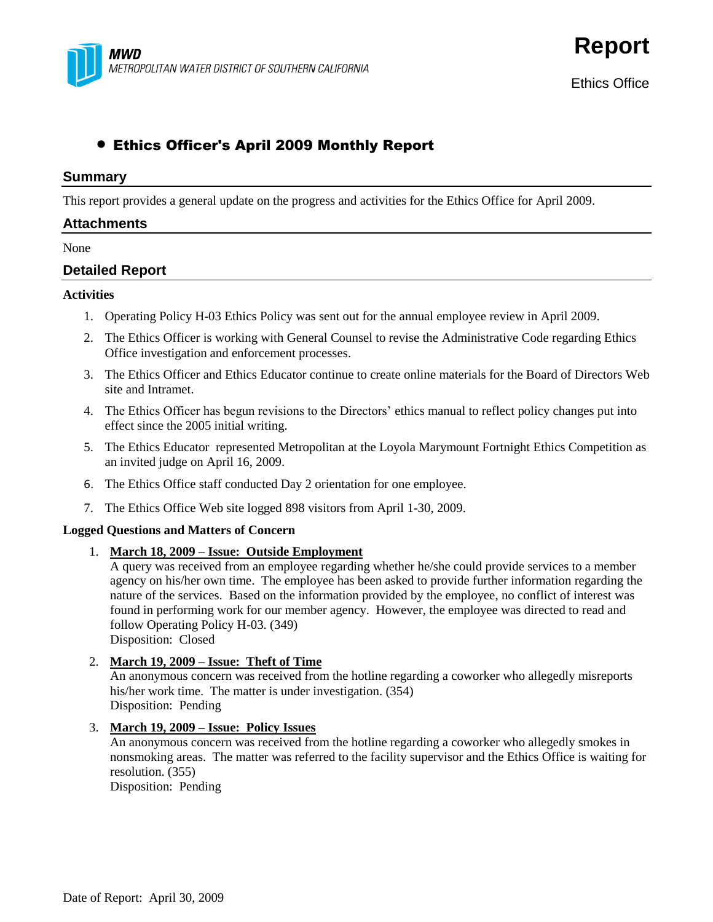

**Report**

# Ethics Officer's April 2009 Monthly Report

#### **Summary**

This report provides a general update on the progress and activities for the Ethics Office for April 2009.

## **Attachments**

#### None

## **Detailed Report**

#### **Activities**

- 1. Operating Policy H-03 Ethics Policy was sent out for the annual employee review in April 2009.
- 2. The Ethics Officer is working with General Counsel to revise the Administrative Code regarding Ethics Office investigation and enforcement processes.
- 3. The Ethics Officer and Ethics Educator continue to create online materials for the Board of Directors Web site and Intramet.
- 4. The Ethics Officer has begun revisions to the Directors' ethics manual to reflect policy changes put into effect since the 2005 initial writing.
- 5. The Ethics Educator represented Metropolitan at the Loyola Marymount Fortnight Ethics Competition as an invited judge on April 16, 2009.
- 6. The Ethics Office staff conducted Day 2 orientation for one employee.
- 7. The Ethics Office Web site logged 898 visitors from April 1-30, 2009.

#### **Logged Questions and Matters of Concern**

#### 1. **March 18, 2009 – Issue: Outside Employment**

A query was received from an employee regarding whether he/she could provide services to a member agency on his/her own time. The employee has been asked to provide further information regarding the nature of the services. Based on the information provided by the employee, no conflict of interest was found in performing work for our member agency. However, the employee was directed to read and follow Operating Policy H-03. (349)

Disposition: Closed

#### 2. **March 19, 2009 – Issue: Theft of Time**

An anonymous concern was received from the hotline regarding a coworker who allegedly misreports his/her work time. The matter is under investigation. (354) Disposition: Pending

#### 3. **March 19, 2009 – Issue: Policy Issues**

An anonymous concern was received from the hotline regarding a coworker who allegedly smokes in nonsmoking areas. The matter was referred to the facility supervisor and the Ethics Office is waiting for resolution. (355)

Disposition: Pending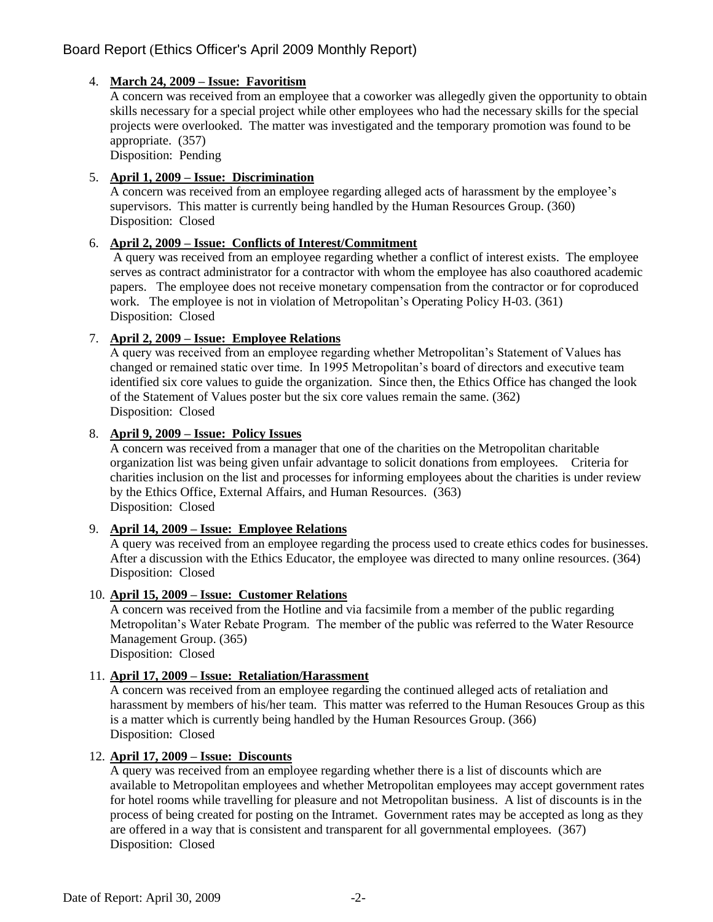# Board Report (Ethics Officer's April 2009 Monthly Report)

# 4. **March 24, 2009 – Issue: Favoritism**

A concern was received from an employee that a coworker was allegedly given the opportunity to obtain skills necessary for a special project while other employees who had the necessary skills for the special projects were overlooked. The matter was investigated and the temporary promotion was found to be appropriate. (357)

Disposition: Pending

## 5. **April 1, 2009 – Issue: Discrimination**

A concern was received from an employee regarding alleged acts of harassment by the employee's supervisors. This matter is currently being handled by the Human Resources Group. (360) Disposition: Closed

## 6. **April 2, 2009 – Issue: Conflicts of Interest/Commitment**

A query was received from an employee regarding whether a conflict of interest exists. The employee serves as contract administrator for a contractor with whom the employee has also coauthored academic papers. The employee does not receive monetary compensation from the contractor or for coproduced work. The employee is not in violation of Metropolitan's Operating Policy H-03. (361) Disposition: Closed

## 7. **April 2, 2009 – Issue: Employee Relations**

A query was received from an employee regarding whether Metropolitan's Statement of Values has changed or remained static over time. In 1995 Metropolitan's board of directors and executive team identified six core values to guide the organization. Since then, the Ethics Office has changed the look of the Statement of Values poster but the six core values remain the same. (362) Disposition: Closed

### 8. **April 9, 2009 – Issue: Policy Issues**

A concern was received from a manager that one of the charities on the Metropolitan charitable organization list was being given unfair advantage to solicit donations from employees. Criteria for charities inclusion on the list and processes for informing employees about the charities is under review by the Ethics Office, External Affairs, and Human Resources. (363) Disposition: Closed

### 9. **April 14, 2009 – Issue: Employee Relations**

A query was received from an employee regarding the process used to create ethics codes for businesses. After a discussion with the Ethics Educator, the employee was directed to many online resources. (364) Disposition: Closed

#### 10. **April 15, 2009 – Issue: Customer Relations**

A concern was received from the Hotline and via facsimile from a member of the public regarding Metropolitan's Water Rebate Program. The member of the public was referred to the Water Resource Management Group. (365)

Disposition: Closed

# 11. **April 17, 2009 – Issue: Retaliation/Harassment**

A concern was received from an employee regarding the continued alleged acts of retaliation and harassment by members of his/her team. This matter was referred to the Human Resouces Group as this is a matter which is currently being handled by the Human Resources Group. (366) Disposition: Closed

# 12. **April 17, 2009 – Issue: Discounts**

A query was received from an employee regarding whether there is a list of discounts which are available to Metropolitan employees and whether Metropolitan employees may accept government rates for hotel rooms while travelling for pleasure and not Metropolitan business. A list of discounts is in the process of being created for posting on the Intramet. Government rates may be accepted as long as they are offered in a way that is consistent and transparent for all governmental employees. (367) Disposition: Closed